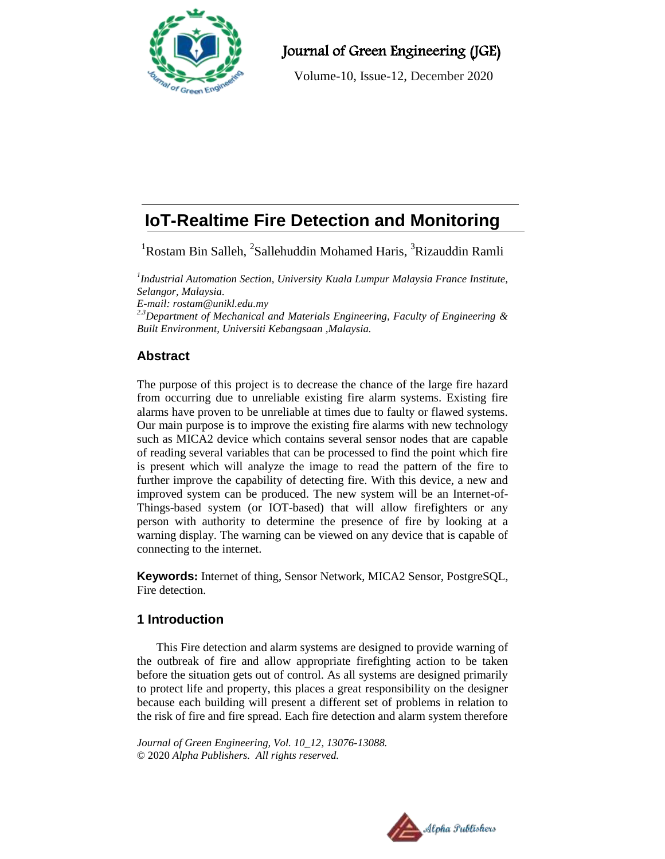

Journal of Green Engineering (JGE)

Volume-10, Issue-12, December 2020

# **IoT-Realtime Fire Detection and Monitoring**

<sup>1</sup>Rostam Bin Salleh, <sup>2</sup>Sallehuddin Mohamed Haris, <sup>3</sup>Rizauddin Ramli

*1 Industrial Automation Section, University Kuala Lumpur Malaysia France Institute, Selangor, Malaysia.*

*E-mail: rostam@unikl.edu.my*

*2.3Department of Mechanical and Materials Engineering, Faculty of Engineering & Built Environment, Universiti Kebangsaan ,Malaysia.*

# **Abstract**

The purpose of this project is to decrease the chance of the large fire hazard from occurring due to unreliable existing fire alarm systems. Existing fire alarms have proven to be unreliable at times due to faulty or flawed systems. Our main purpose is to improve the existing fire alarms with new technology such as MICA2 device which contains several sensor nodes that are capable of reading several variables that can be processed to find the point which fire is present which will analyze the image to read the pattern of the fire to further improve the capability of detecting fire. With this device, a new and improved system can be produced. The new system will be an Internet-of-Things-based system (or IOT-based) that will allow firefighters or any person with authority to determine the presence of fire by looking at a warning display. The warning can be viewed on any device that is capable of connecting to the internet.

**Keywords:** Internet of thing, Sensor Network, MICA2 Sensor, PostgreSQL, Fire detection.

## **1 Introduction**

This Fire detection and alarm systems are designed to provide warning of the outbreak of fire and allow appropriate firefighting action to be taken before the situation gets out of control. As all systems are designed primarily to protect life and property, this places a great responsibility on the designer because each building will present a different set of problems in relation to the risk of fire and fire spread. Each fire detection and alarm system therefore

*Journal of Green Engineering, Vol. 10\_12, 13076-13088.* © 2020 *Alpha Publishers. All rights reserved.*

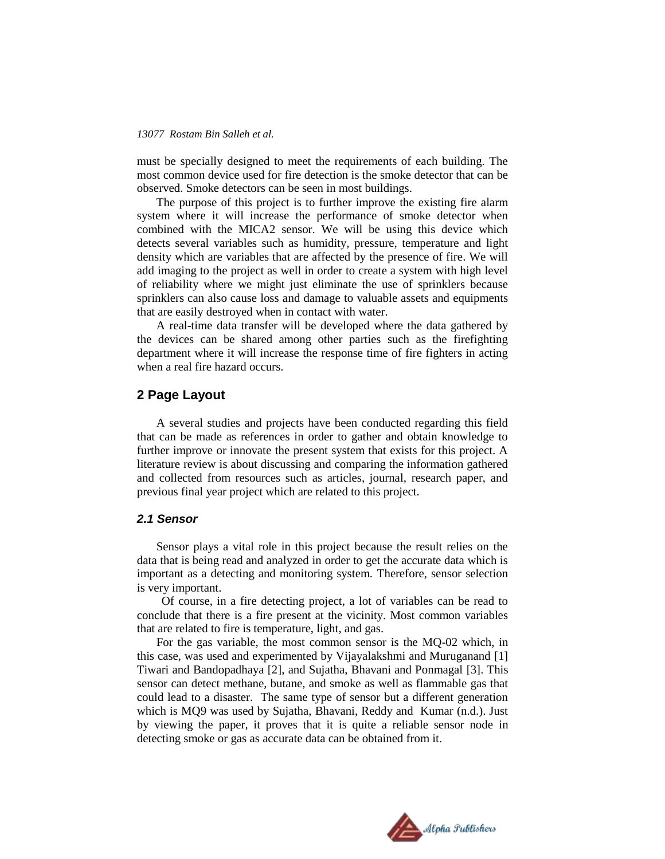must be specially designed to meet the requirements of each building. The most common device used for fire detection is the smoke detector that can be observed. Smoke detectors can be seen in most buildings.

The purpose of this project is to further improve the existing fire alarm system where it will increase the performance of smoke detector when combined with the MICA2 sensor. We will be using this device which detects several variables such as humidity, pressure, temperature and light density which are variables that are affected by the presence of fire. We will add imaging to the project as well in order to create a system with high level of reliability where we might just eliminate the use of sprinklers because sprinklers can also cause loss and damage to valuable assets and equipments that are easily destroyed when in contact with water.

A real-time data transfer will be developed where the data gathered by the devices can be shared among other parties such as the firefighting department where it will increase the response time of fire fighters in acting when a real fire hazard occurs.

### **2 Page Layout**

A several studies and projects have been conducted regarding this field that can be made as references in order to gather and obtain knowledge to further improve or innovate the present system that exists for this project. A literature review is about discussing and comparing the information gathered and collected from resources such as articles, journal, research paper, and previous final year project which are related to this project.

### *2.1 Sensor*

Sensor plays a vital role in this project because the result relies on the data that is being read and analyzed in order to get the accurate data which is important as a detecting and monitoring system. Therefore, sensor selection is very important.

Of course, in a fire detecting project, a lot of variables can be read to conclude that there is a fire present at the vicinity. Most common variables that are related to fire is temperature, light, and gas.

For the gas variable, the most common sensor is the MQ-02 which, in this case, was used and experimented by Vijayalakshmi and Muruganand [1] Tiwari and Bandopadhaya [2], and Sujatha, Bhavani and Ponmagal [3]. This sensor can detect methane, butane, and smoke as well as flammable gas that could lead to a disaster. The same type of sensor but a different generation which is MQ9 was used by Sujatha, Bhavani, Reddy and Kumar (n.d.). Just by viewing the paper, it proves that it is quite a reliable sensor node in detecting smoke or gas as accurate data can be obtained from it.

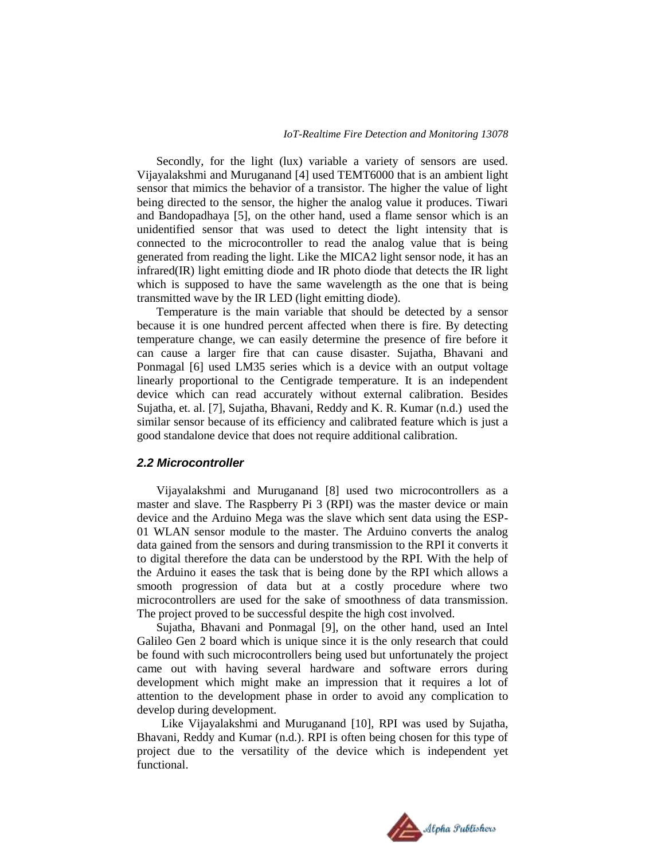Secondly, for the light (lux) variable a variety of sensors are used. Vijayalakshmi and Muruganand [4] used TEMT6000 that is an ambient light sensor that mimics the behavior of a transistor. The higher the value of light being directed to the sensor, the higher the analog value it produces. Tiwari and Bandopadhaya [5], on the other hand, used a flame sensor which is an unidentified sensor that was used to detect the light intensity that is connected to the microcontroller to read the analog value that is being generated from reading the light. Like the MICA2 light sensor node, it has an infrared(IR) light emitting diode and IR photo diode that detects the IR light which is supposed to have the same wavelength as the one that is being transmitted wave by the IR LED (light emitting diode).

Temperature is the main variable that should be detected by a sensor because it is one hundred percent affected when there is fire. By detecting temperature change, we can easily determine the presence of fire before it can cause a larger fire that can cause disaster. Sujatha, Bhavani and Ponmagal [6] used LM35 series which is a device with an output voltage linearly proportional to the Centigrade temperature. It is an independent device which can read accurately without external calibration. Besides Sujatha, et. al. [7], Sujatha, Bhavani, Reddy and K. R. Kumar (n.d.) used the similar sensor because of its efficiency and calibrated feature which is just a good standalone device that does not require additional calibration.

#### *2.2 Microcontroller*

Vijayalakshmi and Muruganand [8] used two microcontrollers as a master and slave. The Raspberry Pi 3 (RPI) was the master device or main device and the Arduino Mega was the slave which sent data using the ESP-01 WLAN sensor module to the master. The Arduino converts the analog data gained from the sensors and during transmission to the RPI it converts it to digital therefore the data can be understood by the RPI. With the help of the Arduino it eases the task that is being done by the RPI which allows a smooth progression of data but at a costly procedure where two microcontrollers are used for the sake of smoothness of data transmission. The project proved to be successful despite the high cost involved.

Sujatha, Bhavani and Ponmagal [9], on the other hand, used an Intel Galileo Gen 2 board which is unique since it is the only research that could be found with such microcontrollers being used but unfortunately the project came out with having several hardware and software errors during development which might make an impression that it requires a lot of attention to the development phase in order to avoid any complication to develop during development.

Like Vijayalakshmi and Muruganand [10], RPI was used by Sujatha, Bhavani, Reddy and Kumar (n.d.). RPI is often being chosen for this type of project due to the versatility of the device which is independent yet functional.

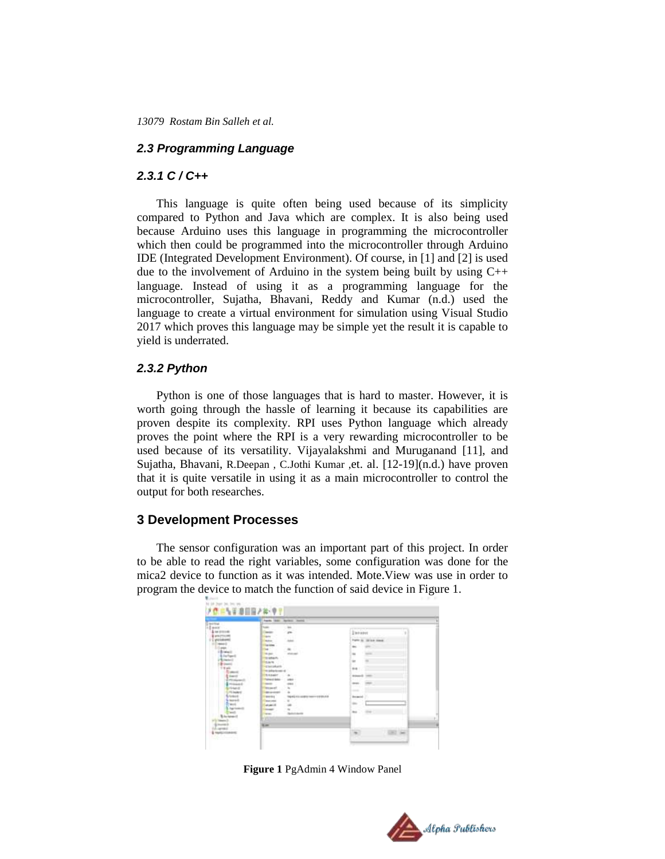#### *2.3 Programming Language*

#### *2.3.1 C / C++*

This language is quite often being used because of its simplicity compared to Python and Java which are complex. It is also being used because Arduino uses this language in programming the microcontroller which then could be programmed into the microcontroller through Arduino IDE (Integrated Development Environment). Of course, in [1] and [2] is used due to the involvement of Arduino in the system being built by using  $C_{++}$ language. Instead of using it as a programming language for the microcontroller, Sujatha, Bhavani, Reddy and Kumar (n.d.) used the language to create a virtual environment for simulation using Visual Studio 2017 which proves this language may be simple yet the result it is capable to yield is underrated.

#### *2.3.2 Python*

Python is one of those languages that is hard to master. However, it is worth going through the hassle of learning it because its capabilities are proven despite its complexity. RPI uses Python language which already proves the point where the RPI is a very rewarding microcontroller to be used because of its versatility. Vijayalakshmi and Muruganand [11], and Sujatha, Bhavani, R.Deepan , C.Jothi Kumar ,et. al. [12-19](n.d.) have proven that it is quite versatile in using it as a main microcontroller to control the output for both researches.

#### **3 Development Processes**

The sensor configuration was an important part of this project. In order to be able to read the right variables, some configuration was done for the mica2 device to function as it was intended. Mote.View was use in order to program the device to match the function of said device in Figure 1.

| Facily \$300 Northern Harrist                                                    |                                     |
|----------------------------------------------------------------------------------|-------------------------------------|
| tom<br>$\frac{1}{2}$<br>--                                                       |                                     |
| Call of<br><b>Senior</b><br><b>Aris</b>                                          | Interest                            |
| Ē<br>$-1$<br><b>Bolton</b>                                                       | Form & Street Links                 |
| <b><i><u>banker</u></i></b>                                                      | $\sim$                              |
| w<br><b>Building</b><br><b>STATISTICS</b>                                        | -<br>$\rightarrow$                  |
| <b>Sighter</b>                                                                   |                                     |
| <b>Earn</b>                                                                      | $\equiv$<br>÷                       |
| <b>Carlotters</b><br>to adaptation of                                            | <b>ALL</b>                          |
| <b>Same</b><br><b>SANAH</b><br>E tower                                           | <b>Science</b><br><b>CONTRACTOR</b> |
| <b>Torres of Antis</b><br>separate the<br>Entroposed                             |                                     |
| $1 - i$ is a set if<br>ments<br><b>COLOR</b><br>÷<br>meets<br>٠<br><b>Morgan</b> | <b>COLOR</b><br>dealers.<br>- 7     |
| <b>FEAWIE</b><br><b>BESIDES</b>                                                  | $\sim$                              |
| <b>Livered</b><br><b>MARKET</b><br>THE WAY AND LODGED THROUGH THE BRUCH.         | the special                         |
| <b>Lisane</b><br>٠<br><b>Warranton</b><br><b>Televille</b><br><b>MARCHE</b>      | $\sim$                              |
| <b>harlowed</b><br><b>DOM:</b>                                                   |                                     |
| <b>Sept.</b><br><b>Service</b><br><b>B</b> Annisoten of                          | $\rightarrow$<br><b>SHE</b>         |
| m                                                                                |                                     |
| <b>Limit</b>                                                                     |                                     |
| <b>Handal Atlantary</b>                                                          |                                     |

**Figure 1** PgAdmin 4 Window Panel

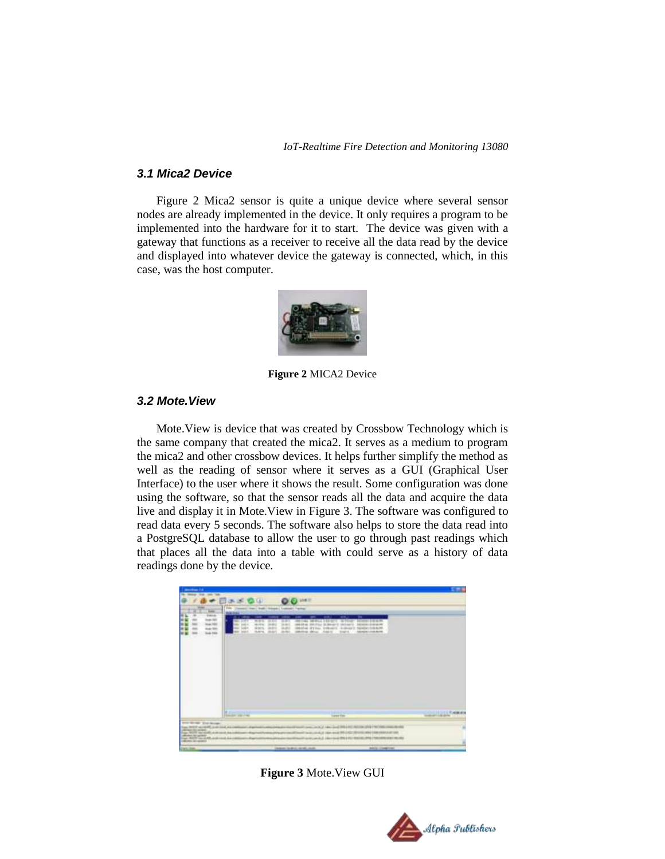*IoT-Realtime Fire Detection and Monitoring 13080*

#### *3.1 Mica2 Device*

Figure 2 Mica2 sensor is quite a unique device where several sensor nodes are already implemented in the device. It only requires a program to be implemented into the hardware for it to start. The device was given with a gateway that functions as a receiver to receive all the data read by the device and displayed into whatever device the gateway is connected, which, in this case, was the host computer.



**Figure 2** MICA2 Device

### *3.2 Mote.View*

Mote.View is device that was created by Crossbow Technology which is the same company that created the mica2. It serves as a medium to program the mica2 and other crossbow devices. It helps further simplify the method as well as the reading of sensor where it serves as a GUI (Graphical User Interface) to the user where it shows the result. Some configuration was done using the software, so that the sensor reads all the data and acquire the data live and display it in Mote.View in Figure 3. The software was configured to read data every 5 seconds. The software also helps to store the data read into a PostgreSQL database to allow the user to go through past readings which that places all the data into a table with could serve as a history of data readings done by the device.



**Figure 3** Mote.View GUI

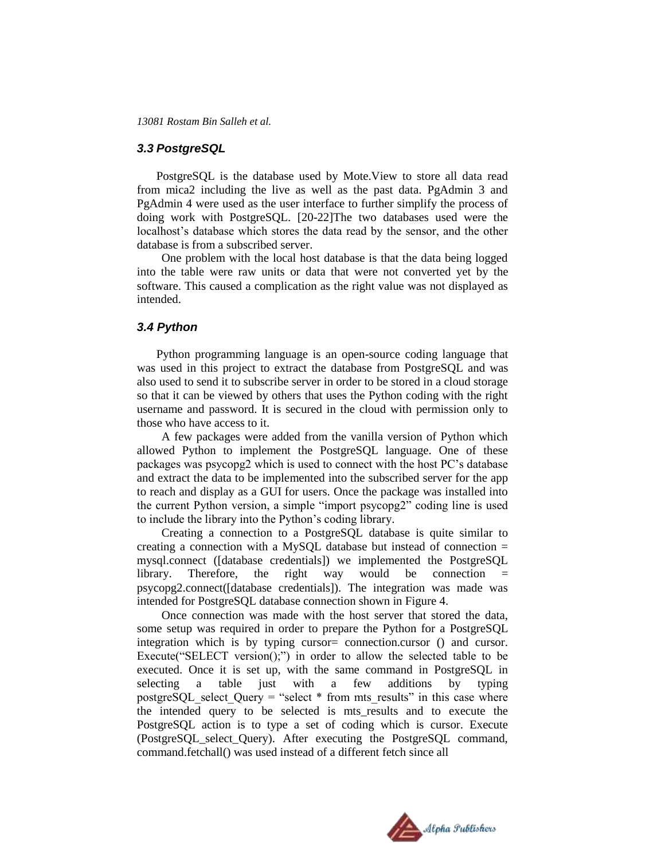#### *3.3 PostgreSQL*

PostgreSQL is the database used by Mote.View to store all data read from mica2 including the live as well as the past data. PgAdmin 3 and PgAdmin 4 were used as the user interface to further simplify the process of doing work with PostgreSQL. [20-22]The two databases used were the localhost's database which stores the data read by the sensor, and the other database is from a subscribed server.

One problem with the local host database is that the data being logged into the table were raw units or data that were not converted yet by the software. This caused a complication as the right value was not displayed as intended.

#### *3.4 Python*

Python programming language is an open-source coding language that was used in this project to extract the database from PostgreSQL and was also used to send it to subscribe server in order to be stored in a cloud storage so that it can be viewed by others that uses the Python coding with the right username and password. It is secured in the cloud with permission only to those who have access to it.

A few packages were added from the vanilla version of Python which allowed Python to implement the PostgreSQL language. One of these packages was psycopg2 which is used to connect with the host PC's database and extract the data to be implemented into the subscribed server for the app to reach and display as a GUI for users. Once the package was installed into the current Python version, a simple "import psycopg2" coding line is used to include the library into the Python's coding library.

Creating a connection to a PostgreSQL database is quite similar to creating a connection with a MySQL database but instead of connection  $=$ mysql.connect ([database credentials]) we implemented the PostgreSQL  $library.$  Therefore, the right way would be connection psycopg2.connect([database credentials]). The integration was made was intended for PostgreSQL database connection shown in Figure 4.

Once connection was made with the host server that stored the data, some setup was required in order to prepare the Python for a PostgreSQL integration which is by typing cursor= connection.cursor () and cursor. Execute("SELECT version();") in order to allow the selected table to be executed. Once it is set up, with the same command in PostgreSQL in selecting a table just with a few additions by typing postgreSQL select Query = "select  $*$  from mts results" in this case where the intended query to be selected is mts\_results and to execute the PostgreSQL action is to type a set of coding which is cursor. Execute (PostgreSQL\_select\_Query). After executing the PostgreSQL command, command.fetchall() was used instead of a different fetch since all

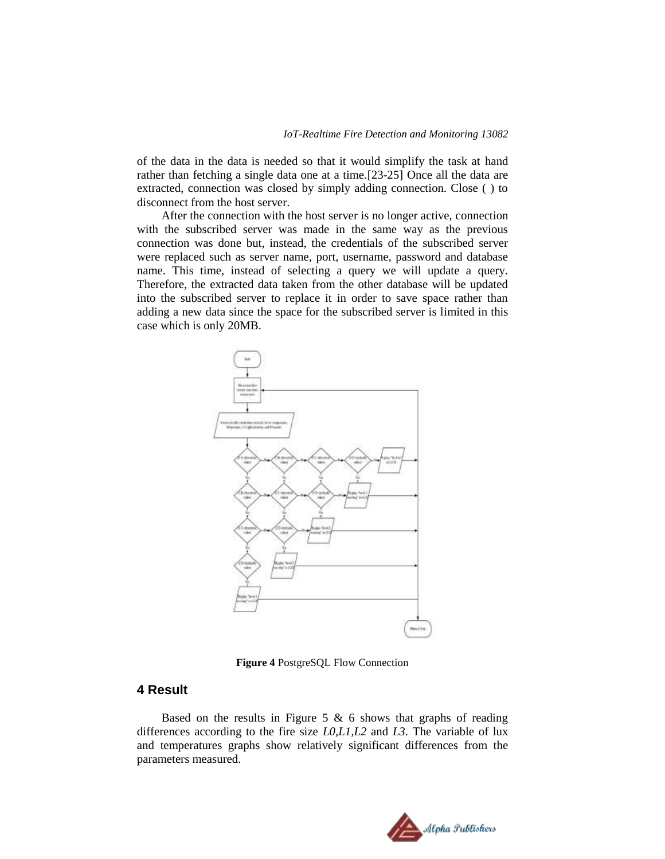of the data in the data is needed so that it would simplify the task at hand rather than fetching a single data one at a time.[23-25] Once all the data are extracted, connection was closed by simply adding connection. Close ( ) to disconnect from the host server.

After the connection with the host server is no longer active, connection with the subscribed server was made in the same way as the previous connection was done but, instead, the credentials of the subscribed server were replaced such as server name, port, username, password and database name. This time, instead of selecting a query we will update a query. Therefore, the extracted data taken from the other database will be updated into the subscribed server to replace it in order to save space rather than adding a new data since the space for the subscribed server is limited in this case which is only 20MB.



**Figure 4** PostgreSQL Flow Connection

## **4 Result**

Based on the results in Figure 5  $\&$  6 shows that graphs of reading differences according to the fire size *L0,L1,L2* and *L3*. The variable of lux and temperatures graphs show relatively significant differences from the parameters measured.

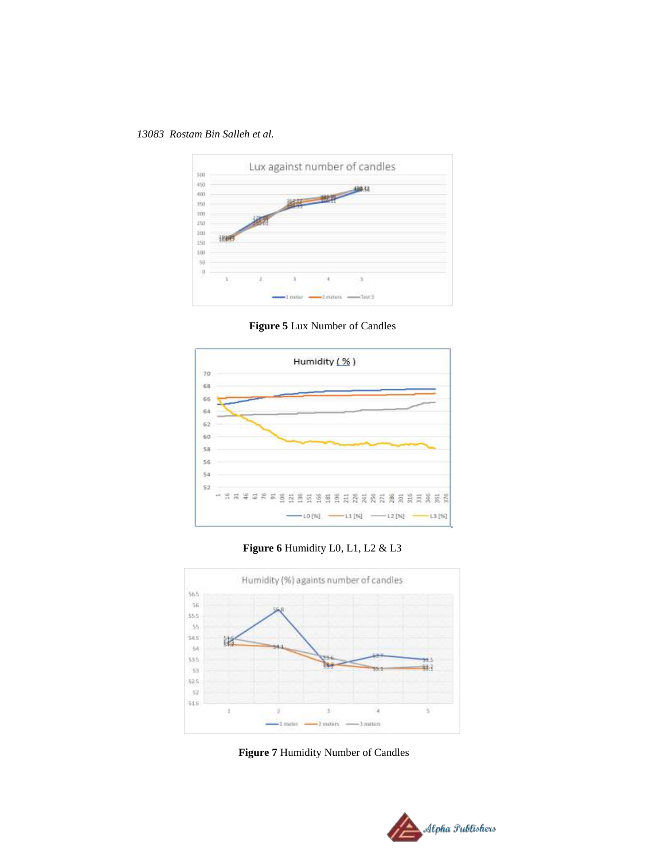

**Figure 5** Lux Number of Candles



**Figure 6** Humidity L0, L1, L2 & L3



**Figure 7** Humidity Number of Candles

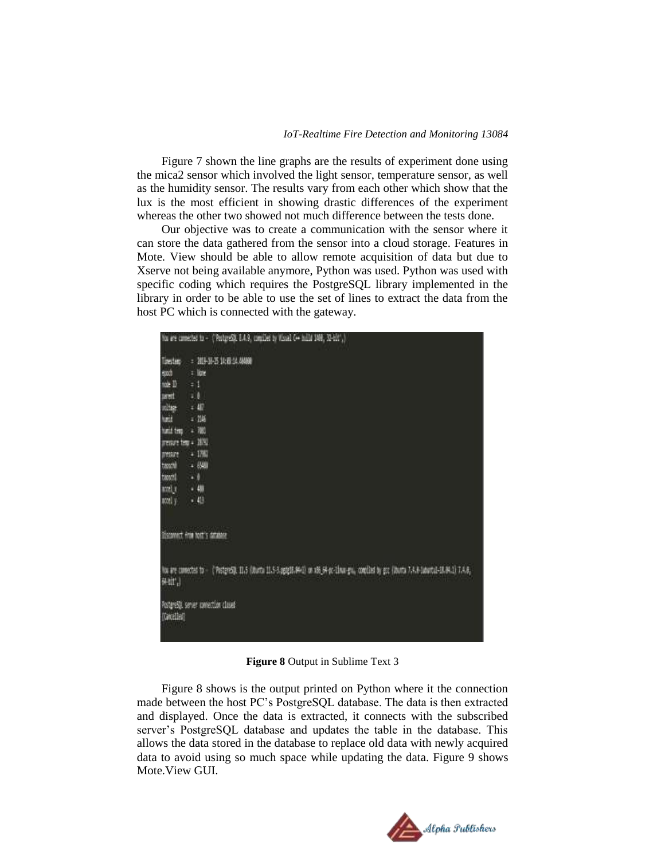Figure 7 shown the line graphs are the results of experiment done using the mica2 sensor which involved the light sensor, temperature sensor, as well as the humidity sensor. The results vary from each other which show that the lux is the most efficient in showing drastic differences of the experiment whereas the other two showed not much difference between the tests done.

Our objective was to create a communication with the sensor where it can store the data gathered from the sensor into a cloud storage. Features in Mote. View should be able to allow remote acquisition of data but due to Xserve not being available anymore, Python was used. Python was used with specific coding which requires the PostgreSQL library implemented in the library in order to be able to use the set of lines to extract the data from the host PC which is connected with the gateway.

|                     | You are connected to - ("Postgrest). E.A.9, compiled by Visual C++ build 1988, 32-EEC.)                                                            |
|---------------------|----------------------------------------------------------------------------------------------------------------------------------------------------|
|                     | Tirestam : 2013-18-25 14:00 14:444000                                                                                                              |
| such                | $=$ low                                                                                                                                            |
| noe III             | ÷.                                                                                                                                                 |
| aret                | 28                                                                                                                                                 |
| initar.             | 147                                                                                                                                                |
| hair                | ■調                                                                                                                                                 |
| hard temp           | - 780                                                                                                                                              |
| presure tem + 1979. |                                                                                                                                                    |
| pressure            | - 1781                                                                                                                                             |
| tassald             | $-690$                                                                                                                                             |
| taggal              | $-1$                                                                                                                                               |
| um) r               | $-40$                                                                                                                                              |
| accel y             | $-48$                                                                                                                                              |
|                     | <b>STATISTICS</b><br>Discovert from NAT's database                                                                                                 |
| 是址 )                | No are conected to - ("Postgrest). 11.5 (Uturta 11.5-3.ggig18.44-0) on x86_64-pc-11nun-gru, comilled by goo (Uturta 7.4.8-1aburtu1-18.04.1) 7.4.8; |
| [Cancelled]         | PostgreSQL server contection closed                                                                                                                |

**Figure 8** Output in Sublime Text 3

Figure 8 shows is the output printed on Python where it the connection made between the host PC's PostgreSQL database. The data is then extracted and displayed. Once the data is extracted, it connects with the subscribed server's PostgreSQL database and updates the table in the database. This allows the data stored in the database to replace old data with newly acquired data to avoid using so much space while updating the data. Figure 9 shows Mote.View GUI.

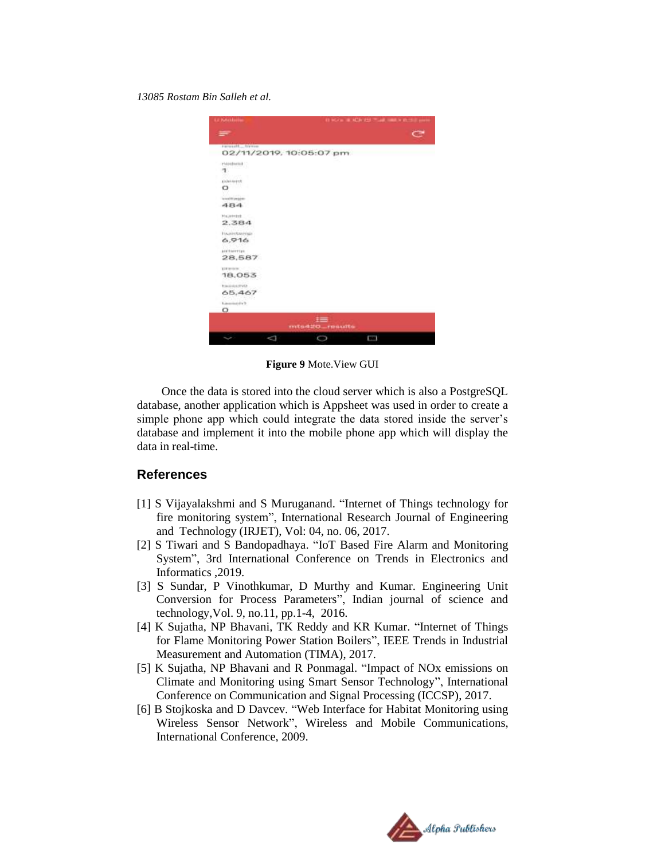

**Figure 9** Mote.View GUI

Once the data is stored into the cloud server which is also a PostgreSQL database, another application which is Appsheet was used in order to create a simple phone app which could integrate the data stored inside the server's database and implement it into the mobile phone app which will display the data in real-time.

#### **References**

- [1] S Vijayalakshmi and S Muruganand. "Internet of Things technology for fire monitoring system", International Research Journal of Engineering and Technology (IRJET), Vol: 04, no. 06, 2017.
- [2] S Tiwari and S Bandopadhaya. "IoT Based Fire Alarm and Monitoring System", 3rd International Conference on Trends in Electronics and Informatics ,2019.
- [3] S Sundar, P Vinothkumar, D Murthy and Kumar. Engineering Unit Conversion for Process Parameters", Indian journal of science and technology,Vol. 9, no.11, pp.1-4, 2016.
- [4] K Sujatha, NP Bhavani, TK Reddy and KR Kumar. "Internet of Things for Flame Monitoring Power Station Boilers", IEEE Trends in Industrial Measurement and Automation (TIMA), 2017.
- [5] K Sujatha, NP Bhavani and R Ponmagal. "Impact of NOx emissions on Climate and Monitoring using Smart Sensor Technology", International Conference on Communication and Signal Processing (ICCSP), 2017.
- [6] B Stojkoska and D Davcev. "Web Interface for Habitat Monitoring using Wireless Sensor Network", Wireless and Mobile Communications, International Conference, 2009.

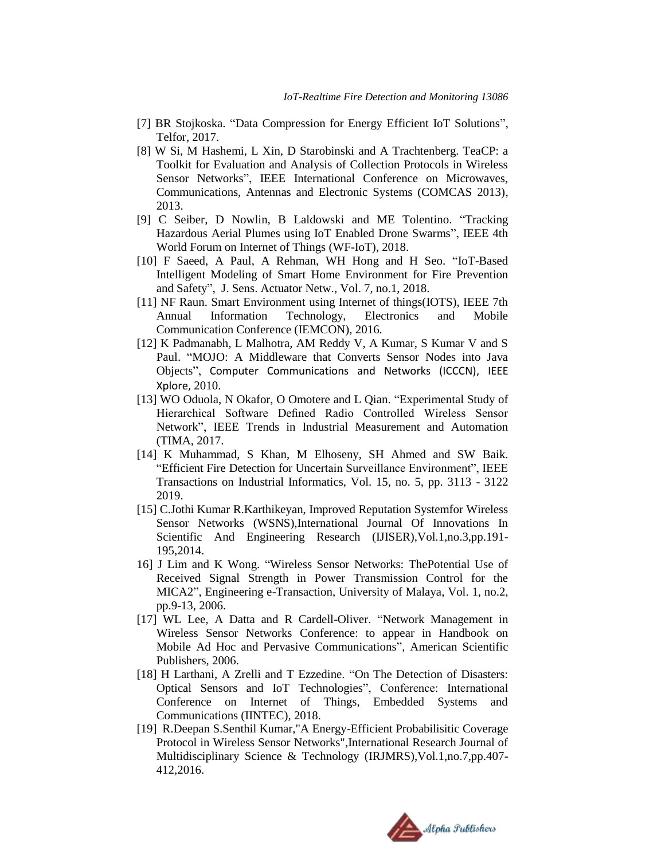- [7] BR Stojkoska. "Data Compression for Energy Efficient IoT Solutions", Telfor, 2017.
- [8] W Si, M Hashemi, L Xin, D Starobinski and A Trachtenberg. TeaCP: a Toolkit for Evaluation and Analysis of Collection Protocols in Wireless Sensor Networks", IEEE International Conference on Microwaves, Communications, Antennas and Electronic Systems (COMCAS 2013), 2013.
- [9] C Seiber, D Nowlin, B Laldowski and ME Tolentino. "Tracking Hazardous Aerial Plumes using IoT Enabled Drone Swarms", IEEE 4th World Forum on Internet of Things (WF-IoT), 2018.
- [10] F Saeed, A Paul, A Rehman, WH Hong and H Seo. "IoT-Based Intelligent Modeling of Smart Home Environment for Fire Prevention and Safety", J. Sens. Actuator Netw., Vol. 7, no.1, 2018.
- [11] NF Raun. Smart Environment using Internet of things(IOTS), IEEE 7th Annual Information Technology, Electronics and Mobile Communication Conference (IEMCON), 2016.
- [12] K Padmanabh, L Malhotra, AM Reddy V, A Kumar, S Kumar V and S Paul. "MOJO: A Middleware that Converts Sensor Nodes into Java Objects", Computer Communications and Networks (ICCCN), IEEE Xplore, 2010.
- [13] WO Oduola, N Okafor, O Omotere and L Qian. "Experimental Study of Hierarchical Software Defined Radio Controlled Wireless Sensor Network", IEEE Trends in Industrial Measurement and Automation (TIMA, 2017.
- [14] K Muhammad, S Khan, M Elhoseny, SH Ahmed and SW Baik. "Efficient Fire Detection for Uncertain Surveillance Environment", IEEE Transactions on Industrial Informatics, Vol. 15, no. 5, pp. 3113 - 3122 2019.
- [15] C.Jothi Kumar R.Karthikeyan, Improved Reputation Systemfor Wireless Sensor Networks (WSNS),International Journal Of Innovations In Scientific And Engineering Research (IJISER),Vol.1,no.3,pp.191- 195,2014.
- 16] J Lim and K Wong. "Wireless Sensor Networks: ThePotential Use of Received Signal Strength in Power Transmission Control for the MICA2", Engineering e-Transaction, University of Malaya, Vol. 1, no.2, pp.9-13, 2006.
- [17] WL Lee, A Datta and R Cardell-Oliver. "Network Management in Wireless Sensor Networks Conference: to appear in Handbook on Mobile Ad Hoc and Pervasive Communications", American Scientific Publishers, 2006.
- [18] H Larthani, A Zrelli and T Ezzedine. "On The Detection of Disasters: Optical Sensors and IoT Technologies", Conference: International Conference on Internet of Things, Embedded Systems and Communications (IINTEC), 2018.
- [19] R.Deepan S.Senthil Kumar,"A Energy-Efficient Probabilisitic Coverage Protocol in Wireless Sensor Networks",International Research Journal of Multidisciplinary Science & Technology (IRJMRS),Vol.1,no.7,pp.407- 412,2016.

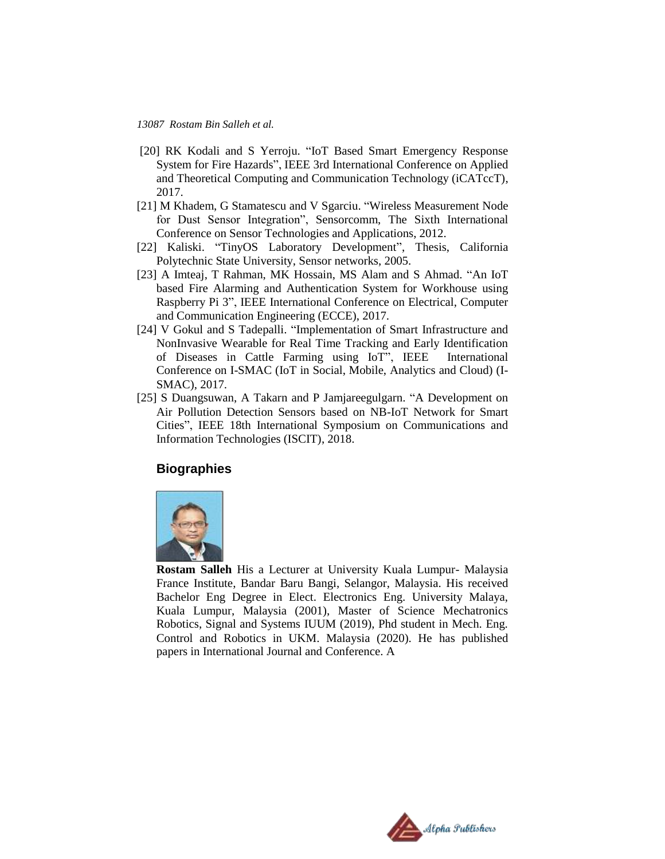- [20] RK Kodali and S Yerroju. "IoT Based Smart Emergency Response System for Fire Hazards", IEEE 3rd International Conference on Applied and Theoretical Computing and Communication Technology (iCATccT), 2017.
- [21] M Khadem, G Stamatescu and V Sgarciu. "Wireless Measurement Node for Dust Sensor Integration", Sensorcomm, The Sixth International Conference on Sensor Technologies and Applications, 2012.
- [22] Kaliski. "TinyOS Laboratory Development", Thesis, California Polytechnic State University, Sensor networks, 2005.
- [23] A Imteaj, T Rahman, MK Hossain, MS Alam and S Ahmad. "An IoT based Fire Alarming and Authentication System for Workhouse using Raspberry Pi 3", IEEE International Conference on Electrical, Computer and Communication Engineering (ECCE), 2017.
- [24] V Gokul and S Tadepalli. "Implementation of Smart Infrastructure and NonInvasive Wearable for Real Time Tracking and Early Identification of Diseases in Cattle Farming using IoT", IEEE International Conference on I-SMAC (IoT in Social, Mobile, Analytics and Cloud) (I-SMAC), 2017.
- [25] S Duangsuwan, A Takarn and P Jamjareegulgarn. "A Development on Air Pollution Detection Sensors based on NB-IoT Network for Smart Cities", IEEE 18th International Symposium on Communications and Information Technologies (ISCIT), 2018.

## **Biographies**



**Rostam Salleh** His a Lecturer at University Kuala Lumpur- Malaysia France Institute, Bandar Baru Bangi, Selangor, Malaysia. His received Bachelor Eng Degree in Elect. Electronics Eng. University Malaya, Kuala Lumpur, Malaysia (2001), Master of Science Mechatronics Robotics, Signal and Systems IUUM (2019), Phd student in Mech. Eng. Control and Robotics in UKM. Malaysia (2020). He has published papers in International Journal and Conference. A